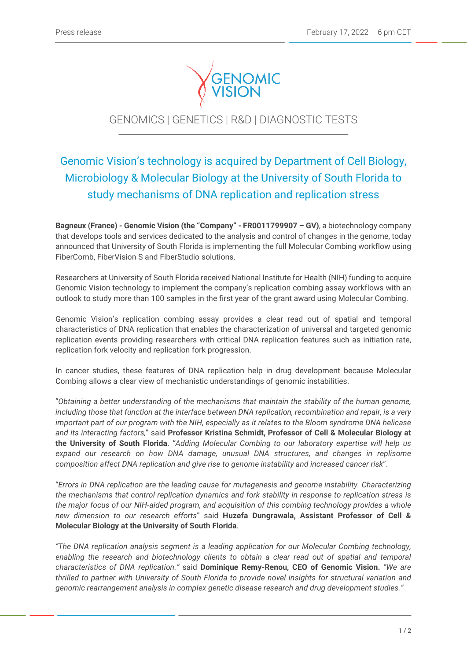

## GENOMICS | GENETICS | R&D | DIAGNOSTIC TESTS

j

# Genomic Vision's technology is acquired by Department of Cell Biology, Microbiology & Molecular Biology at the University of South Florida to study mechanisms of DNA replication and replication stress

**Bagneux (France) - Genomic Vision (the "Company" - FR0011799907 – GV)**, a biotechnology company that develops tools and services dedicated to the analysis and control of changes in the genome, today announced that University of South Florida is implementing the full Molecular Combing workflow using FiberComb, FiberVision S and FiberStudio solutions.

Researchers at University of South Florida received National Institute for Health (NIH) funding to acquire Genomic Vision technology to implement the company's replication combing assay workflows with an outlook to study more than 100 samples in the first year of the grant award using Molecular Combing.

Genomic Vision's replication combing assay provides a clear read out of spatial and temporal characteristics of DNA replication that enables the characterization of universal and targeted genomic replication events providing researchers with critical DNA replication features such as initiation rate, replication fork velocity and replication fork progression.

In cancer studies, these features of DNA replication help in drug development because Molecular Combing allows a clear view of mechanistic understandings of genomic instabilities.

"*Obtaining a better understanding of the mechanisms that maintain the stability of the human genome, including those that function at the interface between DNA replication, recombination and repair, is a very important part of our program with the NIH, especially as it relates to the Bloom syndrome DNA helicase and its interacting factors,*" said **Professor Kristina Schmidt, Professor of Cell & Molecular Biology at the University of South Florida**. "*Adding Molecular Combing to our laboratory expertise will help us expand our research on how DNA damage, unusual DNA structures, and changes in replisome composition affect DNA replication and give rise to genome instability and increased cancer risk*".

"*Errors in DNA replication are the leading cause for mutagenesis and genome instability. Characterizing the mechanisms that control replication dynamics and fork stability in response to replication stress is the major focus of our NIH-aided program, and acquisition of this combing technology provides a whole new dimension to our research efforts*" said **Huzefa Dungrawala, Assistant Professor of Cell & Molecular Biology at the University of South Florida**.

*"The DNA replication analysis segment is a leading application for our Molecular Combing technology, enabling the research and biotechnology clients to obtain a clear read out of spatial and temporal characteristics of DNA replication."* said **Dominique Remy-Renou, CEO of Genomic Vision.** *"We are thrilled to partner with University of South Florida to provide novel insights for structural variation and genomic rearrangement analysis in complex genetic disease research and drug development studies."*